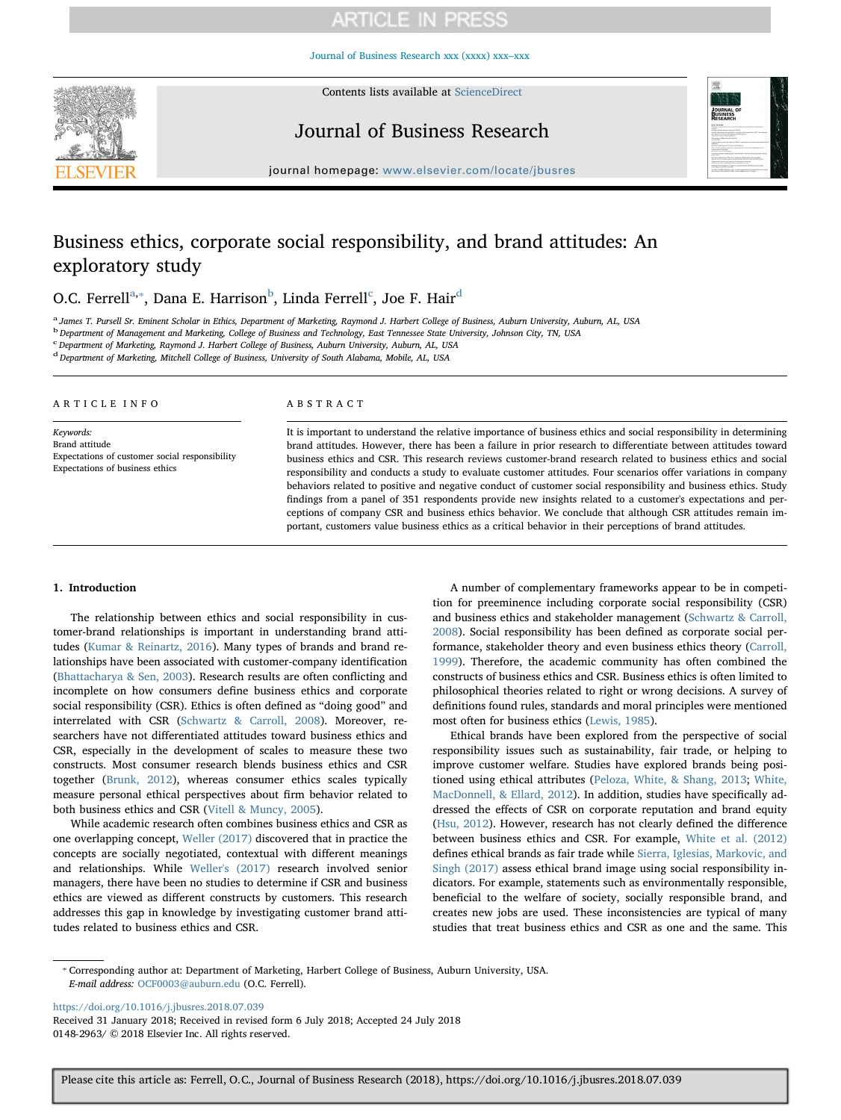[Journal of Business Research xxx \(xxxx\) xxx–xxx](https://doi.org/10.1016/j.jbusres.2018.07.039)



Contents lists available at [ScienceDirect](http://www.sciencedirect.com/science/journal/01482963)

Journal of Business Research



journal homepage: [www.elsevier.com/locate/jbusres](https://www.elsevier.com/locate/jbusres)

# Business ethics, corporate social responsibility, and brand attitudes: An exploratory study

O.C. Ferrell $^{\text{a},*}$ , Dana E. Harrison $^{\text{b}}$  $^{\text{b}}$  $^{\text{b}}$ , Lin[d](#page-0-4)a Ferrell $^{\text{c}}$  $^{\text{c}}$  $^{\text{c}}$ , Joe F. Hair $^{\text{d}}$ 

<span id="page-0-0"></span>a James T. Pursell Sr. Eminent Scholar in Ethics, Department of Marketing, Raymond J. Harbert College of Business, Auburn University, Auburn, AL, USA

<span id="page-0-2"></span><sup>b</sup> Department of Management and Marketing, College of Business and Technology, East Tennessee State University, Johnson City, TN, USA

<span id="page-0-3"></span>c Department of Marketing, Raymond J. Harbert College of Business, Auburn University, Auburn, AL, USA

<span id="page-0-4"></span> $d$  Department of Marketing, Mitchell College of Business, University of South Alabama, Mobile, AL, USA

#### ARTICLE INFO

Keywords: Brand attitude Expectations of customer social responsibility Expectations of business ethics

### ABSTRACT

It is important to understand the relative importance of business ethics and social responsibility in determining brand attitudes. However, there has been a failure in prior research to differentiate between attitudes toward business ethics and CSR. This research reviews customer-brand research related to business ethics and social responsibility and conducts a study to evaluate customer attitudes. Four scenarios offer variations in company behaviors related to positive and negative conduct of customer social responsibility and business ethics. Study findings from a panel of 351 respondents provide new insights related to a customer's expectations and perceptions of company CSR and business ethics behavior. We conclude that although CSR attitudes remain important, customers value business ethics as a critical behavior in their perceptions of brand attitudes.

#### 1. Introduction

The relationship between ethics and social responsibility in customer-brand relationships is important in understanding brand attitudes [\(Kumar & Reinartz, 2016](#page-10-0)). Many types of brands and brand relationships have been associated with customer-company identification ([Bhattacharya & Sen, 2003](#page-9-0)). Research results are often conflicting and incomplete on how consumers define business ethics and corporate social responsibility (CSR). Ethics is often defined as "doing good" and interrelated with CSR [\(Schwartz & Carroll, 2008\)](#page-10-1). Moreover, researchers have not differentiated attitudes toward business ethics and CSR, especially in the development of scales to measure these two constructs. Most consumer research blends business ethics and CSR together [\(Brunk, 2012](#page-9-1)), whereas consumer ethics scales typically measure personal ethical perspectives about firm behavior related to both business ethics and CSR [\(Vitell & Muncy, 2005\)](#page-10-2).

While academic research often combines business ethics and CSR as one overlapping concept, [Weller \(2017\)](#page-10-3) discovered that in practice the concepts are socially negotiated, contextual with different meanings and relationships. While [Weller's \(2017\)](#page-10-3) research involved senior managers, there have been no studies to determine if CSR and business ethics are viewed as different constructs by customers. This research addresses this gap in knowledge by investigating customer brand attitudes related to business ethics and CSR.

A number of complementary frameworks appear to be in competition for preeminence including corporate social responsibility (CSR) and business ethics and stakeholder management ([Schwartz & Carroll,](#page-10-1) [2008\)](#page-10-1). Social responsibility has been defined as corporate social performance, stakeholder theory and even business ethics theory [\(Carroll,](#page-9-2) [1999\)](#page-9-2). Therefore, the academic community has often combined the constructs of business ethics and CSR. Business ethics is often limited to philosophical theories related to right or wrong decisions. A survey of definitions found rules, standards and moral principles were mentioned most often for business ethics ([Lewis, 1985\)](#page-10-4).

Ethical brands have been explored from the perspective of social responsibility issues such as sustainability, fair trade, or helping to improve customer welfare. Studies have explored brands being positioned using ethical attributes ([Peloza, White, & Shang, 2013](#page-10-5); [White,](#page-10-6) [MacDonnell, & Ellard, 2012\)](#page-10-6). In addition, studies have specifically addressed the effects of CSR on corporate reputation and brand equity ([Hsu, 2012](#page-10-7)). However, research has not clearly defined the difference between business ethics and CSR. For example, [White et al. \(2012\)](#page-10-6) defines ethical brands as fair trade while [Sierra, Iglesias, Markovic, and](#page-10-8) [Singh \(2017\)](#page-10-8) assess ethical brand image using social responsibility indicators. For example, statements such as environmentally responsible, beneficial to the welfare of society, socially responsible brand, and creates new jobs are used. These inconsistencies are typical of many studies that treat business ethics and CSR as one and the same. This

<https://doi.org/10.1016/j.jbusres.2018.07.039>

<span id="page-0-1"></span><sup>⁎</sup> Corresponding author at: Department of Marketing, Harbert College of Business, Auburn University, USA. E-mail address: [OCF0003@auburn.edu](mailto:OCF0003@auburn.edu) (O.C. Ferrell).

Received 31 January 2018; Received in revised form 6 July 2018; Accepted 24 July 2018 0148-2963/ © 2018 Elsevier Inc. All rights reserved.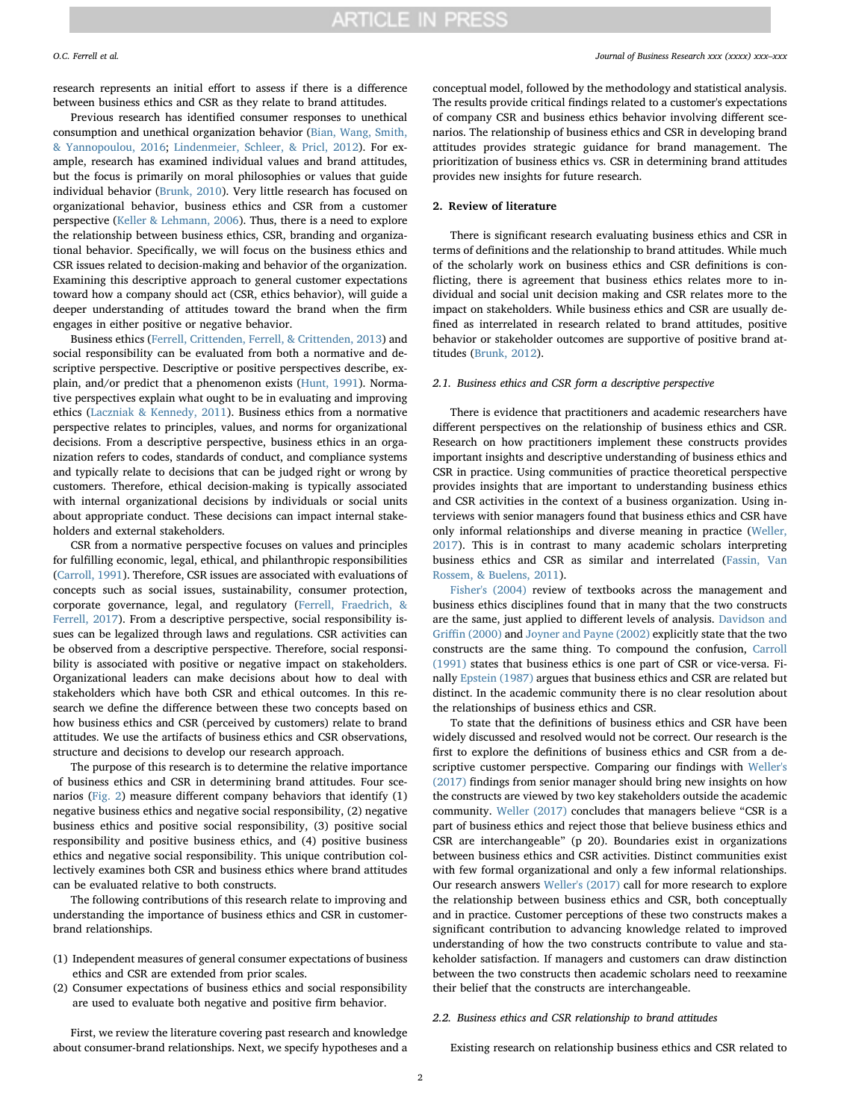research represents an initial effort to assess if there is a difference between business ethics and CSR as they relate to brand attitudes.

Previous research has identified consumer responses to unethical consumption and unethical organization behavior [\(Bian, Wang, Smith,](#page-9-3) [& Yannopoulou, 2016](#page-9-3); [Lindenmeier, Schleer, & Pricl, 2012\)](#page-10-9). For example, research has examined individual values and brand attitudes, but the focus is primarily on moral philosophies or values that guide individual behavior [\(Brunk, 2010](#page-9-4)). Very little research has focused on organizational behavior, business ethics and CSR from a customer perspective ([Keller & Lehmann, 2006](#page-10-10)). Thus, there is a need to explore the relationship between business ethics, CSR, branding and organizational behavior. Specifically, we will focus on the business ethics and CSR issues related to decision-making and behavior of the organization. Examining this descriptive approach to general customer expectations toward how a company should act (CSR, ethics behavior), will guide a deeper understanding of attitudes toward the brand when the firm engages in either positive or negative behavior.

Business ethics [\(Ferrell, Crittenden, Ferrell, & Crittenden, 2013\)](#page-9-5) and social responsibility can be evaluated from both a normative and descriptive perspective. Descriptive or positive perspectives describe, explain, and/or predict that a phenomenon exists [\(Hunt, 1991\)](#page-10-11). Normative perspectives explain what ought to be in evaluating and improving ethics [\(Laczniak & Kennedy, 2011\)](#page-10-12). Business ethics from a normative perspective relates to principles, values, and norms for organizational decisions. From a descriptive perspective, business ethics in an organization refers to codes, standards of conduct, and compliance systems and typically relate to decisions that can be judged right or wrong by customers. Therefore, ethical decision-making is typically associated with internal organizational decisions by individuals or social units about appropriate conduct. These decisions can impact internal stakeholders and external stakeholders.

CSR from a normative perspective focuses on values and principles for fulfilling economic, legal, ethical, and philanthropic responsibilities ([Carroll, 1991](#page-9-6)). Therefore, CSR issues are associated with evaluations of concepts such as social issues, sustainability, consumer protection, corporate governance, legal, and regulatory ([Ferrell, Fraedrich, &](#page-9-7) [Ferrell, 2017\)](#page-9-7). From a descriptive perspective, social responsibility issues can be legalized through laws and regulations. CSR activities can be observed from a descriptive perspective. Therefore, social responsibility is associated with positive or negative impact on stakeholders. Organizational leaders can make decisions about how to deal with stakeholders which have both CSR and ethical outcomes. In this research we define the difference between these two concepts based on how business ethics and CSR (perceived by customers) relate to brand attitudes. We use the artifacts of business ethics and CSR observations, structure and decisions to develop our research approach.

The purpose of this research is to determine the relative importance of business ethics and CSR in determining brand attitudes. Four scenarios [\(Fig. 2](#page-5-0)) measure different company behaviors that identify (1) negative business ethics and negative social responsibility, (2) negative business ethics and positive social responsibility, (3) positive social responsibility and positive business ethics, and (4) positive business ethics and negative social responsibility. This unique contribution collectively examines both CSR and business ethics where brand attitudes can be evaluated relative to both constructs.

The following contributions of this research relate to improving and understanding the importance of business ethics and CSR in customerbrand relationships.

- (1) Independent measures of general consumer expectations of business ethics and CSR are extended from prior scales.
- (2) Consumer expectations of business ethics and social responsibility are used to evaluate both negative and positive firm behavior.

First, we review the literature covering past research and knowledge about consumer-brand relationships. Next, we specify hypotheses and a

conceptual model, followed by the methodology and statistical analysis. The results provide critical findings related to a customer's expectations of company CSR and business ethics behavior involving different scenarios. The relationship of business ethics and CSR in developing brand attitudes provides strategic guidance for brand management. The prioritization of business ethics vs. CSR in determining brand attitudes provides new insights for future research.

## 2. Review of literature

There is significant research evaluating business ethics and CSR in terms of definitions and the relationship to brand attitudes. While much of the scholarly work on business ethics and CSR definitions is conflicting, there is agreement that business ethics relates more to individual and social unit decision making and CSR relates more to the impact on stakeholders. While business ethics and CSR are usually defined as interrelated in research related to brand attitudes, positive behavior or stakeholder outcomes are supportive of positive brand attitudes [\(Brunk, 2012](#page-9-1)).

## 2.1. Business ethics and CSR form a descriptive perspective

There is evidence that practitioners and academic researchers have different perspectives on the relationship of business ethics and CSR. Research on how practitioners implement these constructs provides important insights and descriptive understanding of business ethics and CSR in practice. Using communities of practice theoretical perspective provides insights that are important to understanding business ethics and CSR activities in the context of a business organization. Using interviews with senior managers found that business ethics and CSR have only informal relationships and diverse meaning in practice [\(Weller,](#page-10-3) [2017\)](#page-10-3). This is in contrast to many academic scholars interpreting business ethics and CSR as similar and interrelated ([Fassin, Van](#page-9-8) [Rossem, & Buelens, 2011](#page-9-8)).

[Fisher's \(2004\)](#page-9-9) review of textbooks across the management and business ethics disciplines found that in many that the two constructs are the same, just applied to different levels of analysis. [Davidson and](#page-9-10) Griffi[n \(2000\)](#page-9-10) and [Joyner and Payne \(2002\)](#page-10-13) explicitly state that the two constructs are the same thing. To compound the confusion, [Carroll](#page-9-6) [\(1991\)](#page-9-6) states that business ethics is one part of CSR or vice-versa. Finally [Epstein \(1987\)](#page-9-11) argues that business ethics and CSR are related but distinct. In the academic community there is no clear resolution about the relationships of business ethics and CSR.

To state that the definitions of business ethics and CSR have been widely discussed and resolved would not be correct. Our research is the first to explore the definitions of business ethics and CSR from a descriptive customer perspective. Comparing our findings with [Weller's](#page-10-3) [\(2017\)](#page-10-3) findings from senior manager should bring new insights on how the constructs are viewed by two key stakeholders outside the academic community. [Weller \(2017\)](#page-10-3) concludes that managers believe "CSR is a part of business ethics and reject those that believe business ethics and CSR are interchangeable" (p 20). Boundaries exist in organizations between business ethics and CSR activities. Distinct communities exist with few formal organizational and only a few informal relationships. Our research answers [Weller's](#page-10-3) (2017) call for more research to explore the relationship between business ethics and CSR, both conceptually and in practice. Customer perceptions of these two constructs makes a significant contribution to advancing knowledge related to improved understanding of how the two constructs contribute to value and stakeholder satisfaction. If managers and customers can draw distinction between the two constructs then academic scholars need to reexamine their belief that the constructs are interchangeable.

#### 2.2. Business ethics and CSR relationship to brand attitudes

Existing research on relationship business ethics and CSR related to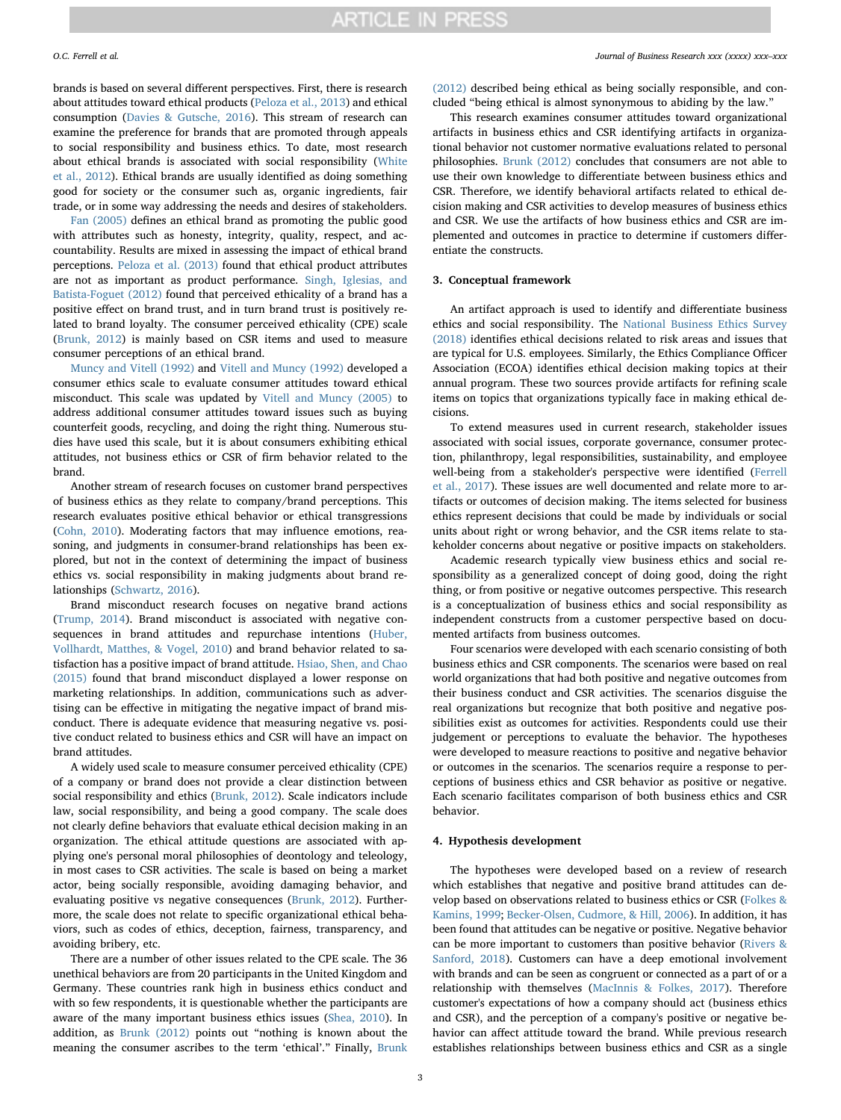brands is based on several different perspectives. First, there is research about attitudes toward ethical products ([Peloza et al., 2013\)](#page-10-5) and ethical consumption ([Davies & Gutsche, 2016\)](#page-9-12). This stream of research can examine the preference for brands that are promoted through appeals to social responsibility and business ethics. To date, most research about ethical brands is associated with social responsibility ([White](#page-10-6) [et al., 2012\)](#page-10-6). Ethical brands are usually identified as doing something good for society or the consumer such as, organic ingredients, fair trade, or in some way addressing the needs and desires of stakeholders.

[Fan \(2005\)](#page-9-13) defines an ethical brand as promoting the public good with attributes such as honesty, integrity, quality, respect, and accountability. Results are mixed in assessing the impact of ethical brand perceptions. [Peloza et al. \(2013\)](#page-10-5) found that ethical product attributes are not as important as product performance. [Singh, Iglesias, and](#page-10-14) [Batista-Foguet \(2012\)](#page-10-14) found that perceived ethicality of a brand has a positive effect on brand trust, and in turn brand trust is positively related to brand loyalty. The consumer perceived ethicality (CPE) scale ([Brunk, 2012](#page-9-1)) is mainly based on CSR items and used to measure consumer perceptions of an ethical brand.

[Muncy and Vitell \(1992\)](#page-10-15) and [Vitell and Muncy \(1992\)](#page-10-16) developed a consumer ethics scale to evaluate consumer attitudes toward ethical misconduct. This scale was updated by [Vitell and Muncy \(2005\)](#page-10-2) to address additional consumer attitudes toward issues such as buying counterfeit goods, recycling, and doing the right thing. Numerous studies have used this scale, but it is about consumers exhibiting ethical attitudes, not business ethics or CSR of firm behavior related to the brand.

Another stream of research focuses on customer brand perspectives of business ethics as they relate to company/brand perceptions. This research evaluates positive ethical behavior or ethical transgressions ([Cohn, 2010\)](#page-9-14). Moderating factors that may influence emotions, reasoning, and judgments in consumer-brand relationships has been explored, but not in the context of determining the impact of business ethics vs. social responsibility in making judgments about brand relationships [\(Schwartz, 2016\)](#page-10-17).

Brand misconduct research focuses on negative brand actions ([Trump, 2014\)](#page-10-18). Brand misconduct is associated with negative consequences in brand attitudes and repurchase intentions ([Huber,](#page-10-19) [Vollhardt, Matthes, & Vogel, 2010](#page-10-19)) and brand behavior related to satisfaction has a positive impact of brand attitude. [Hsiao, Shen, and Chao](#page-10-20) [\(2015\)](#page-10-20) found that brand misconduct displayed a lower response on marketing relationships. In addition, communications such as advertising can be effective in mitigating the negative impact of brand misconduct. There is adequate evidence that measuring negative vs. positive conduct related to business ethics and CSR will have an impact on brand attitudes.

A widely used scale to measure consumer perceived ethicality (CPE) of a company or brand does not provide a clear distinction between social responsibility and ethics [\(Brunk, 2012](#page-9-1)). Scale indicators include law, social responsibility, and being a good company. The scale does not clearly define behaviors that evaluate ethical decision making in an organization. The ethical attitude questions are associated with applying one's personal moral philosophies of deontology and teleology, in most cases to CSR activities. The scale is based on being a market actor, being socially responsible, avoiding damaging behavior, and evaluating positive vs negative consequences ([Brunk, 2012](#page-9-1)). Furthermore, the scale does not relate to specific organizational ethical behaviors, such as codes of ethics, deception, fairness, transparency, and avoiding bribery, etc.

There are a number of other issues related to the CPE scale. The 36 unethical behaviors are from 20 participants in the United Kingdom and Germany. These countries rank high in business ethics conduct and with so few respondents, it is questionable whether the participants are aware of the many important business ethics issues ([Shea, 2010\)](#page-10-21). In addition, as [Brunk \(2012\)](#page-9-1) points out "nothing is known about the meaning the consumer ascribes to the term 'ethical'." Finally, [Brunk](#page-9-1)

[\(2012\)](#page-9-1) described being ethical as being socially responsible, and concluded "being ethical is almost synonymous to abiding by the law."

This research examines consumer attitudes toward organizational artifacts in business ethics and CSR identifying artifacts in organizational behavior not customer normative evaluations related to personal philosophies. [Brunk \(2012\)](#page-9-1) concludes that consumers are not able to use their own knowledge to differentiate between business ethics and CSR. Therefore, we identify behavioral artifacts related to ethical decision making and CSR activities to develop measures of business ethics and CSR. We use the artifacts of how business ethics and CSR are implemented and outcomes in practice to determine if customers differentiate the constructs.

#### 3. Conceptual framework

An artifact approach is used to identify and differentiate business ethics and social responsibility. The [National Business Ethics Survey](#page-10-22) [\(2018\)](#page-10-22) identifies ethical decisions related to risk areas and issues that are typical for U.S. employees. Similarly, the Ethics Compliance Officer Association (ECOA) identifies ethical decision making topics at their annual program. These two sources provide artifacts for refining scale items on topics that organizations typically face in making ethical decisions.

To extend measures used in current research, stakeholder issues associated with social issues, corporate governance, consumer protection, philanthropy, legal responsibilities, sustainability, and employee well-being from a stakeholder's perspective were identified ([Ferrell](#page-9-7) [et al., 2017](#page-9-7)). These issues are well documented and relate more to artifacts or outcomes of decision making. The items selected for business ethics represent decisions that could be made by individuals or social units about right or wrong behavior, and the CSR items relate to stakeholder concerns about negative or positive impacts on stakeholders.

Academic research typically view business ethics and social responsibility as a generalized concept of doing good, doing the right thing, or from positive or negative outcomes perspective. This research is a conceptualization of business ethics and social responsibility as independent constructs from a customer perspective based on documented artifacts from business outcomes.

Four scenarios were developed with each scenario consisting of both business ethics and CSR components. The scenarios were based on real world organizations that had both positive and negative outcomes from their business conduct and CSR activities. The scenarios disguise the real organizations but recognize that both positive and negative possibilities exist as outcomes for activities. Respondents could use their judgement or perceptions to evaluate the behavior. The hypotheses were developed to measure reactions to positive and negative behavior or outcomes in the scenarios. The scenarios require a response to perceptions of business ethics and CSR behavior as positive or negative. Each scenario facilitates comparison of both business ethics and CSR behavior.

#### 4. Hypothesis development

The hypotheses were developed based on a review of research which establishes that negative and positive brand attitudes can develop based on observations related to business ethics or CSR ([Folkes &](#page-9-15) [Kamins, 1999;](#page-9-15) [Becker-Olsen, Cudmore, & Hill, 2006\)](#page-9-16). In addition, it has been found that attitudes can be negative or positive. Negative behavior can be more important to customers than positive behavior [\(Rivers &](#page-10-23) [Sanford, 2018](#page-10-23)). Customers can have a deep emotional involvement with brands and can be seen as congruent or connected as a part of or a relationship with themselves ([MacInnis & Folkes, 2017\)](#page-10-24). Therefore customer's expectations of how a company should act (business ethics and CSR), and the perception of a company's positive or negative behavior can affect attitude toward the brand. While previous research establishes relationships between business ethics and CSR as a single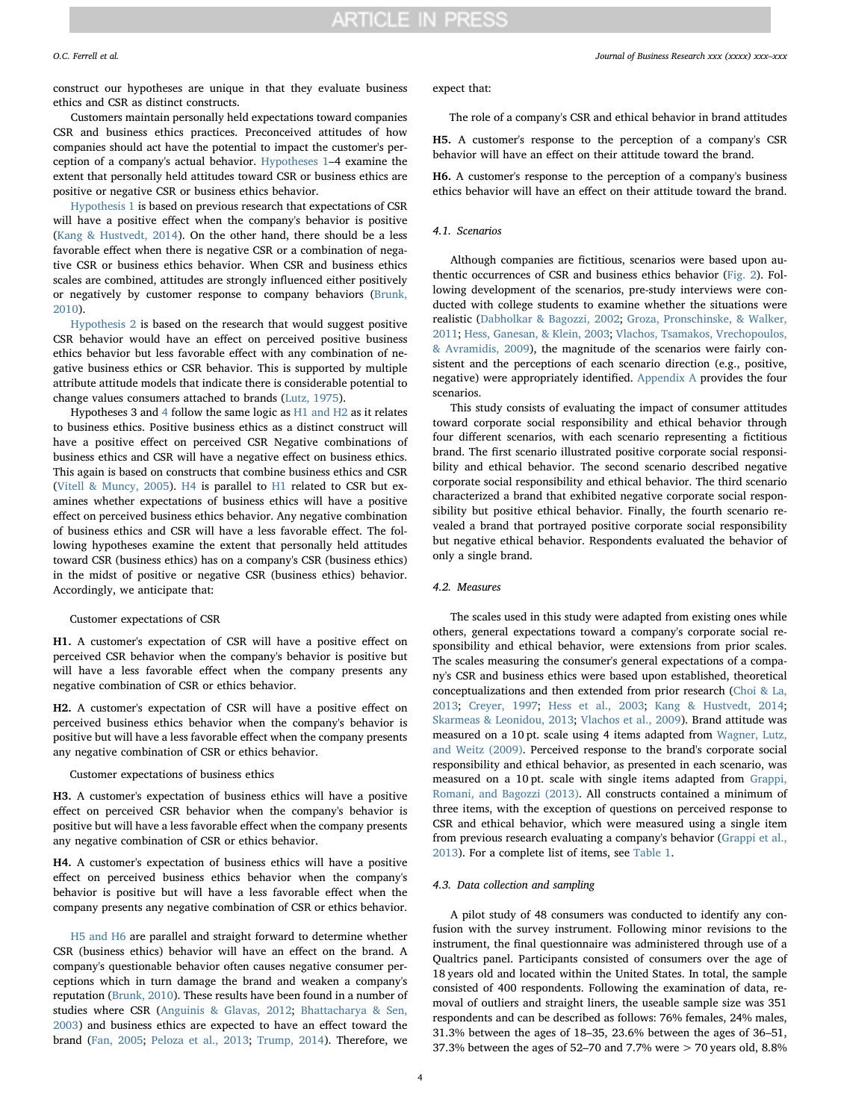construct our hypotheses are unique in that they evaluate business ethics and CSR as distinct constructs.

Customers maintain personally held expectations toward companies CSR and business ethics practices. Preconceived attitudes of how companies should act have the potential to impact the customer's perception of a company's actual behavior. [Hypotheses 1](#page-3-0)–4 examine the extent that personally held attitudes toward CSR or business ethics are positive or negative CSR or business ethics behavior.

[Hypothesis 1](#page-3-0) is based on previous research that expectations of CSR will have a positive effect when the company's behavior is positive ([Kang & Hustvedt, 2014](#page-10-25)). On the other hand, there should be a less favorable effect when there is negative CSR or a combination of negative CSR or business ethics behavior. When CSR and business ethics scales are combined, attitudes are strongly influenced either positively or negatively by customer response to company behaviors [\(Brunk,](#page-9-4) [2010\)](#page-9-4).

[Hypothesis 2](#page-3-1) is based on the research that would suggest positive CSR behavior would have an effect on perceived positive business ethics behavior but less favorable effect with any combination of negative business ethics or CSR behavior. This is supported by multiple attribute attitude models that indicate there is considerable potential to change values consumers attached to brands [\(Lutz, 1975](#page-10-26)).

Hypotheses 3 and [4](#page-3-2) follow the same logic as [H1 and H2](#page-3-0) as it relates to business ethics. Positive business ethics as a distinct construct will have a positive effect on perceived CSR Negative combinations of business ethics and CSR will have a negative effect on business ethics. This again is based on constructs that combine business ethics and CSR ([Vitell & Muncy, 2005\)](#page-10-2). [H4](#page-3-2) is parallel to [H1](#page-3-0) related to CSR but examines whether expectations of business ethics will have a positive effect on perceived business ethics behavior. Any negative combination of business ethics and CSR will have a less favorable effect. The following hypotheses examine the extent that personally held attitudes toward CSR (business ethics) has on a company's CSR (business ethics) in the midst of positive or negative CSR (business ethics) behavior. Accordingly, we anticipate that:

#### Customer expectations of CSR

<span id="page-3-0"></span>H1. A customer's expectation of CSR will have a positive effect on perceived CSR behavior when the company's behavior is positive but will have a less favorable effect when the company presents any negative combination of CSR or ethics behavior.

<span id="page-3-1"></span>H2. A customer's expectation of CSR will have a positive effect on perceived business ethics behavior when the company's behavior is positive but will have a less favorable effect when the company presents any negative combination of CSR or ethics behavior.

#### Customer expectations of business ethics

<span id="page-3-4"></span>H3. A customer's expectation of business ethics will have a positive effect on perceived CSR behavior when the company's behavior is positive but will have a less favorable effect when the company presents any negative combination of CSR or ethics behavior.

<span id="page-3-2"></span>H4. A customer's expectation of business ethics will have a positive effect on perceived business ethics behavior when the company's behavior is positive but will have a less favorable effect when the company presents any negative combination of CSR or ethics behavior.

[H5 and H6](#page-3-3) are parallel and straight forward to determine whether CSR (business ethics) behavior will have an effect on the brand. A company's questionable behavior often causes negative consumer perceptions which in turn damage the brand and weaken a company's reputation [\(Brunk, 2010\)](#page-9-4). These results have been found in a number of studies where CSR ([Anguinis & Glavas, 2012;](#page-9-17) [Bhattacharya & Sen,](#page-9-0) [2003\)](#page-9-0) and business ethics are expected to have an effect toward the brand ([Fan, 2005](#page-9-13); [Peloza et al., 2013](#page-10-5); [Trump, 2014\)](#page-10-18). Therefore, we

expect that:

The role of a company's CSR and ethical behavior in brand attitudes

<span id="page-3-3"></span>H5. A customer's response to the perception of a company's CSR behavior will have an effect on their attitude toward the brand.

<span id="page-3-5"></span>H6. A customer's response to the perception of a company's business ethics behavior will have an effect on their attitude toward the brand.

#### 4.1. Scenarios

Although companies are fictitious, scenarios were based upon authentic occurrences of CSR and business ethics behavior [\(Fig. 2\)](#page-5-0). Following development of the scenarios, pre-study interviews were conducted with college students to examine whether the situations were realistic [\(Dabholkar & Bagozzi, 2002](#page-9-18); [Groza, Pronschinske, & Walker,](#page-10-27) [2011;](#page-10-27) [Hess, Ganesan, & Klein, 2003](#page-10-28); [Vlachos, Tsamakos, Vrechopoulos,](#page-10-29) [& Avramidis, 2009](#page-10-29)), the magnitude of the scenarios were fairly consistent and the perceptions of each scenario direction (e.g., positive, negative) were appropriately identified. [Appendix A](#page-9-19) provides the four scenarios.

This study consists of evaluating the impact of consumer attitudes toward corporate social responsibility and ethical behavior through four different scenarios, with each scenario representing a fictitious brand. The first scenario illustrated positive corporate social responsibility and ethical behavior. The second scenario described negative corporate social responsibility and ethical behavior. The third scenario characterized a brand that exhibited negative corporate social responsibility but positive ethical behavior. Finally, the fourth scenario revealed a brand that portrayed positive corporate social responsibility but negative ethical behavior. Respondents evaluated the behavior of only a single brand.

#### 4.2. Measures

The scales used in this study were adapted from existing ones while others, general expectations toward a company's corporate social responsibility and ethical behavior, were extensions from prior scales. The scales measuring the consumer's general expectations of a company's CSR and business ethics were based upon established, theoretical conceptualizations and then extended from prior research ([Choi & La,](#page-9-20) [2013;](#page-9-20) [Creyer, 1997;](#page-9-21) Hess [et al., 2003](#page-10-28); [Kang & Hustvedt, 2014](#page-10-25); [Skarmeas & Leonidou, 2013;](#page-10-30) [Vlachos et al., 2009](#page-10-29)). Brand attitude was measured on a 10 pt. scale using 4 items adapted from [Wagner, Lutz,](#page-10-31) [and Weitz \(2009\)](#page-10-31). Perceived response to the brand's corporate social responsibility and ethical behavior, as presented in each scenario, was measured on a 10 pt. scale with single items adapted from [Grappi,](#page-10-32) [Romani, and Bagozzi \(2013\)](#page-10-32). All constructs contained a minimum of three items, with the exception of questions on perceived response to CSR and ethical behavior, which were measured using a single item from previous research evaluating a company's behavior [\(Grappi et al.,](#page-10-32) [2013\)](#page-10-32). For a complete list of items, see [Table 1](#page-4-0).

### 4.3. Data collection and sampling

A pilot study of 48 consumers was conducted to identify any confusion with the survey instrument. Following minor revisions to the instrument, the final questionnaire was administered through use of a Qualtrics panel. Participants consisted of consumers over the age of 18 years old and located within the United States. In total, the sample consisted of 400 respondents. Following the examination of data, removal of outliers and straight liners, the useable sample size was 351 respondents and can be described as follows: 76% females, 24% males, 31.3% between the ages of 18–35, 23.6% between the ages of 36–51, 37.3% between the ages of 52–70 and 7.7% were > 70 years old, 8.8%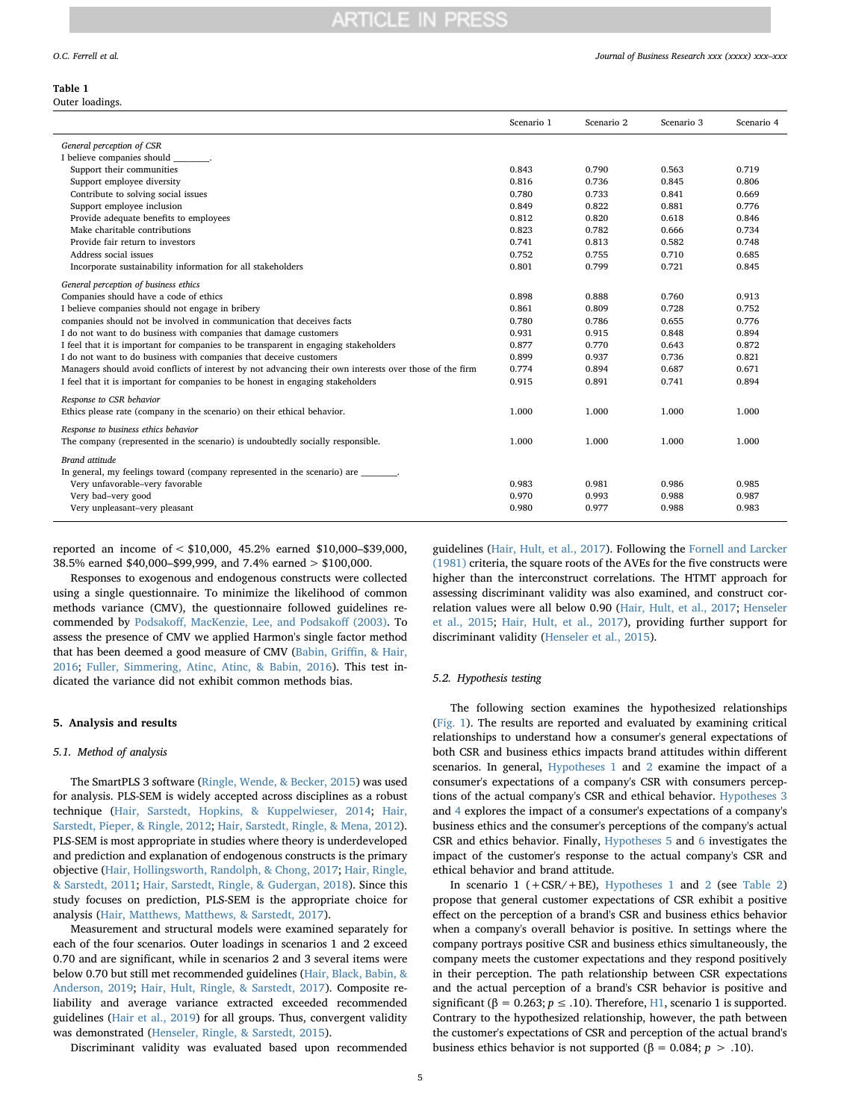#### <span id="page-4-0"></span>Table 1 Outer loadings.

|                                                                                                         | Scenario 1 | Scenario 2 | Scenario 3 | Scenario 4 |
|---------------------------------------------------------------------------------------------------------|------------|------------|------------|------------|
| General perception of CSR                                                                               |            |            |            |            |
| I believe companies should                                                                              |            |            |            |            |
| Support their communities                                                                               | 0.843      | 0.790      | 0.563      | 0.719      |
| Support employee diversity                                                                              | 0.816      | 0.736      | 0.845      | 0.806      |
| Contribute to solving social issues                                                                     | 0.780      | 0.733      | 0.841      | 0.669      |
| Support employee inclusion                                                                              | 0.849      | 0.822      | 0.881      | 0.776      |
| Provide adequate benefits to employees                                                                  | 0.812      | 0.820      | 0.618      | 0.846      |
| Make charitable contributions                                                                           | 0.823      | 0.782      | 0.666      | 0.734      |
| Provide fair return to investors                                                                        | 0.741      | 0.813      | 0.582      | 0.748      |
| Address social issues                                                                                   | 0.752      | 0.755      | 0.710      | 0.685      |
| Incorporate sustainability information for all stakeholders                                             | 0.801      | 0.799      | 0.721      | 0.845      |
| General perception of business ethics                                                                   |            |            |            |            |
| Companies should have a code of ethics                                                                  | 0.898      | 0.888      | 0.760      | 0.913      |
| I believe companies should not engage in bribery                                                        | 0.861      | 0.809      | 0.728      | 0.752      |
| companies should not be involved in communication that deceives facts                                   | 0.780      | 0.786      | 0.655      | 0.776      |
| I do not want to do business with companies that damage customers                                       | 0.931      | 0.915      | 0.848      | 0.894      |
| I feel that it is important for companies to be transparent in engaging stakeholders                    | 0.877      | 0.770      | 0.643      | 0.872      |
| I do not want to do business with companies that deceive customers                                      | 0.899      | 0.937      | 0.736      | 0.821      |
| Managers should avoid conflicts of interest by not advancing their own interests over those of the firm | 0.774      | 0.894      | 0.687      | 0.671      |
| I feel that it is important for companies to be honest in engaging stakeholders                         | 0.915      | 0.891      | 0.741      | 0.894      |
| Response to CSR behavior                                                                                |            |            |            |            |
| Ethics please rate (company in the scenario) on their ethical behavior.                                 | 1.000      | 1.000      | 1.000      | 1.000      |
| Response to business ethics behavior                                                                    |            |            |            |            |
| The company (represented in the scenario) is undoubtedly socially responsible.                          | 1.000      | 1.000      | 1.000      | 1.000      |
| Brand attitude                                                                                          |            |            |            |            |
| In general, my feelings toward (company represented in the scenario) are ________.                      |            |            |            |            |
| Very unfavorable-very favorable                                                                         | 0.983      | 0.981      | 0.986      | 0.985      |
| Very bad-very good                                                                                      | 0.970      | 0.993      | 0.988      | 0.987      |
| Very unpleasant-very pleasant                                                                           | 0.980      | 0.977      | 0.988      | 0.983      |
|                                                                                                         |            |            |            |            |

reported an income of < \$10,000, 45.2% earned \$10,000–\$39,000, 38.5% earned \$40,000–\$99,999, and 7.4% earned > \$100,000.

Responses to exogenous and endogenous constructs were collected using a single questionnaire. To minimize the likelihood of common methods variance (CMV), the questionnaire followed guidelines recommended by Podsakoff[, MacKenzie, Lee, and Podsako](#page-10-33)ff (2003). To assess the presence of CMV we applied Harmon's single factor method that has been deemed a good measure of CMV ([Babin, Gri](#page-9-22)ffin, & Hair, [2016;](#page-9-22) [Fuller, Simmering, Atinc, Atinc, & Babin, 2016](#page-9-23)). This test indicated the variance did not exhibit common methods bias.

#### 5. Analysis and results

### 5.1. Method of analysis

The SmartPLS 3 software ([Ringle, Wende, & Becker, 2015](#page-10-34)) was used for analysis. PLS-SEM is widely accepted across disciplines as a robust technique [\(Hair, Sarstedt, Hopkins, & Kuppelwieser, 2014;](#page-10-35) [Hair,](#page-10-36) [Sarstedt, Pieper, & Ringle, 2012;](#page-10-36) [Hair, Sarstedt, Ringle, & Mena, 2012](#page-10-37)). PLS-SEM is most appropriate in studies where theory is underdeveloped and prediction and explanation of endogenous constructs is the primary objective ([Hair, Hollingsworth, Randolph, & Chong, 2017;](#page-10-38) [Hair, Ringle,](#page-10-39) [& Sarstedt, 2011;](#page-10-39) [Hair, Sarstedt, Ringle, & Gudergan, 2018\)](#page-10-40). Since this study focuses on prediction, PLS-SEM is the appropriate choice for analysis [\(Hair, Matthews, Matthews, & Sarstedt, 2017](#page-10-41)).

Measurement and structural models were examined separately for each of the four scenarios. Outer loadings in scenarios 1 and 2 exceed 0.70 and are significant, while in scenarios 2 and 3 several items were below 0.70 but still met recommended guidelines [\(Hair, Black, Babin, &](#page-10-42) [Anderson, 2019](#page-10-42); [Hair, Hult, Ringle, & Sarstedt, 2017](#page-10-43)). Composite reliability and average variance extracted exceeded recommended guidelines [\(Hair et al., 2019\)](#page-10-42) for all groups. Thus, convergent validity was demonstrated ([Henseler, Ringle, & Sarstedt, 2015](#page-10-44)).

Discriminant validity was evaluated based upon recommended

guidelines [\(Hair, Hult, et al., 2017](#page-10-43)). Following the [Fornell and Larcker](#page-9-24) [\(1981\)](#page-9-24) criteria, the square roots of the AVEs for the five constructs were higher than the interconstruct correlations. The HTMT approach for assessing discriminant validity was also examined, and construct correlation values were all below 0.90 [\(Hair, Hult, et al., 2017;](#page-10-43) [Henseler](#page-10-44) [et al., 2015;](#page-10-44) [Hair, Hult, et al., 2017\)](#page-10-43), providing further support for discriminant validity [\(Henseler et al., 2015](#page-10-44)).

#### 5.2. Hypothesis testing

The following section examines the hypothesized relationships ([Fig. 1](#page-5-1)). The results are reported and evaluated by examining critical relationships to understand how a consumer's general expectations of both CSR and business ethics impacts brand attitudes within different scenarios. In general, [Hypotheses 1](#page-3-0) and [2](#page-3-1) examine the impact of a consumer's expectations of a company's CSR with consumers perceptions of the actual company's CSR and ethical behavior. [Hypotheses 3](#page-3-4) and [4](#page-3-2) explores the impact of a consumer's expectations of a company's business ethics and the consumer's perceptions of the company's actual CSR and ethics behavior. Finally, [Hypotheses 5](#page-3-3) and [6](#page-3-5) investigates the impact of the customer's response to the actual company's CSR and ethical behavior and brand attitude.

In scenario 1 ( $+$ CSR $/$ +BE), [Hypotheses 1](#page-3-0) and [2](#page-3-1) (see [Table 2\)](#page-6-0) propose that general customer expectations of CSR exhibit a positive effect on the perception of a brand's CSR and business ethics behavior when a company's overall behavior is positive. In settings where the company portrays positive CSR and business ethics simultaneously, the company meets the customer expectations and they respond positively in their perception. The path relationship between CSR expectations and the actual perception of a brand's CSR behavior is positive and significant ( $\beta = 0.263$ ;  $p \le 0.10$ ). Therefore, [H1,](#page-3-0) scenario 1 is supported. Contrary to the hypothesized relationship, however, the path between the customer's expectations of CSR and perception of the actual brand's business ethics behavior is not supported (β = 0.084;  $p > .10$ ).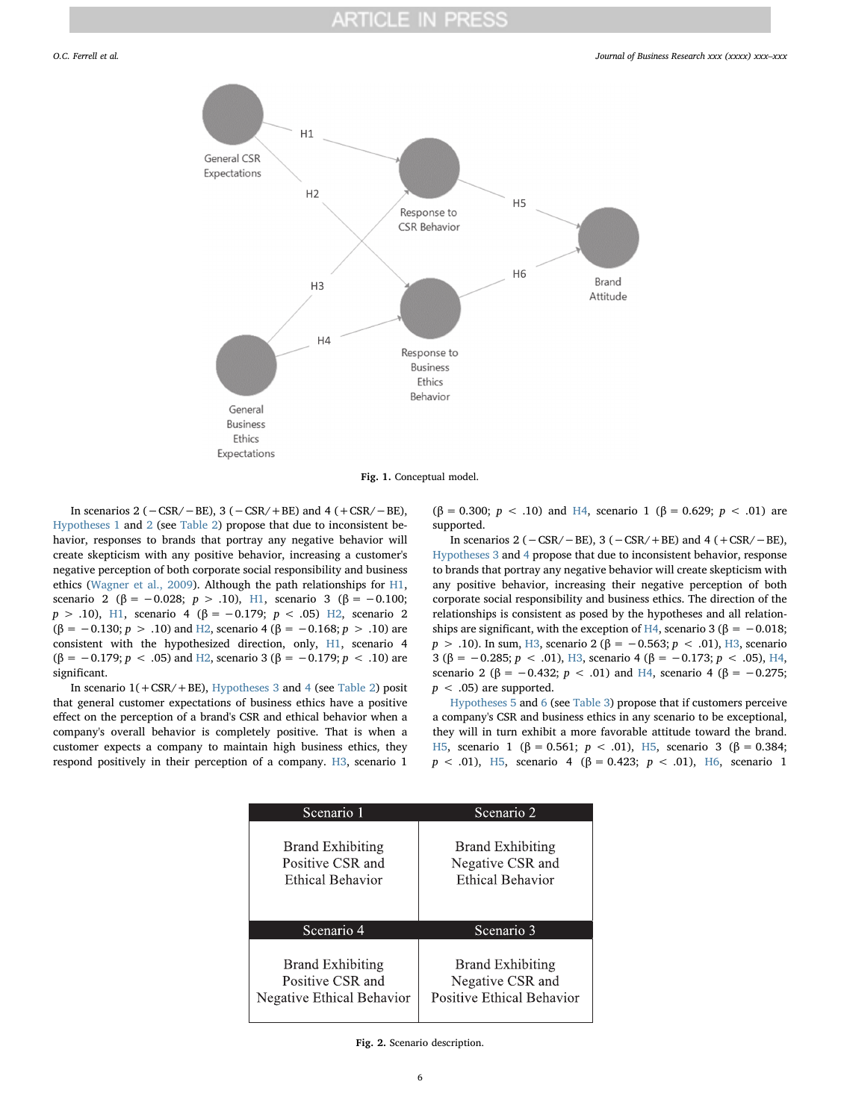<span id="page-5-1"></span>

Fig. 1. Conceptual model.

In scenarios 2 ( $-CSR$ / $-BE$ ), 3 ( $-CSR$ / $+BE$ ) and 4 ( $+CSR$ / $-BE$ ), [Hypotheses 1](#page-3-0) and [2](#page-3-1) (see [Table 2](#page-6-0)) propose that due to inconsistent behavior, responses to brands that portray any negative behavior will create skepticism with any positive behavior, increasing a customer's negative perception of both corporate social responsibility and business ethics [\(Wagner et al., 2009\)](#page-10-31). Although the path relationships for [H1](#page-3-0), scenario 2 (β = -0.028;  $p > .10$ ), [H1](#page-3-0), scenario 3 (β = -0.100; p > .10), [H1,](#page-3-0) scenario 4 (β = −0.179; p < .05) [H2](#page-3-1), scenario 2  $(β = −0.130; p > .10)$  and [H2](#page-3-1), scenario 4 (β = −0.168; *p* > .10) are consistent with the hypothesized direction, only, [H1,](#page-3-0) scenario 4 ( $\beta$  = −0.179; *p* < .05) and [H2](#page-3-1), scenario 3 ( $\beta$  = −0.179; *p* < .10) are significant.

<span id="page-5-0"></span>In scenario  $1(+CSR+BE)$ , [Hypotheses 3](#page-3-4) and [4](#page-3-2) (see [Table 2](#page-6-0)) posit that general customer expectations of business ethics have a positive effect on the perception of a brand's CSR and ethical behavior when a company's overall behavior is completely positive. That is when a customer expects a company to maintain high business ethics, they respond positively in their perception of a company. [H3,](#page-3-4) scenario 1

( $\beta$  = 0.300; *p* < .10) and [H4](#page-3-2), scenario 1 ( $\beta$  = 0.629; *p* < .01) are supported.

In scenarios 2 ( $-CSR$ / $-BE$ ), 3 ( $-CSR$ / $+BE$ ) and 4 ( $+CSR$ / $-BE$ ), [Hypotheses 3](#page-3-4) and [4](#page-3-2) propose that due to inconsistent behavior, response to brands that portray any negative behavior will create skepticism with any positive behavior, increasing their negative perception of both corporate social responsibility and business ethics. The direction of the relationships is consistent as posed by the hypotheses and all relation-ships are significant, with the exception of [H4,](#page-3-2) scenario 3 ( $\beta = -0.018$ ; p > .10). In sum, [H3](#page-3-4), scenario 2 (β = −0.563; p < .01), [H3,](#page-3-4) scenario 3 (β = -0.285; p < .01), [H3,](#page-3-4) scenario 4 (β = -0.173; p < .05), [H4](#page-3-2), scenario 2 (β = -0.432; *p* < .01) and [H4](#page-3-2), scenario 4 (β = -0.275;  $p < .05$ ) are supported.

[Hypotheses 5](#page-3-3) and [6](#page-3-5) (see [Table 3](#page-6-1)) propose that if customers perceive a company's CSR and business ethics in any scenario to be exceptional, they will in turn exhibit a more favorable attitude toward the brand. [H5](#page-3-3), scenario 1 (β = 0.561;  $p < .01$ ), H5, scenario 3 (β = 0.384; p < .01), [H5,](#page-3-3) scenario 4 (β = 0.423; p < .01), [H6,](#page-3-5) scenario 1

| Scenario 1                | Scenario 2                |
|---------------------------|---------------------------|
| <b>Brand Exhibiting</b>   | <b>Brand Exhibiting</b>   |
| Positive CSR and          | Negative CSR and          |
| Ethical Behavior          | <b>Ethical Behavior</b>   |
| Scenario 4                | Scenario 3                |
| <b>Brand Exhibiting</b>   | <b>Brand Exhibiting</b>   |
| Positive CSR and          | Negative CSR and          |
| Negative Ethical Behavior | Positive Ethical Behavior |

Fig. 2. Scenario description.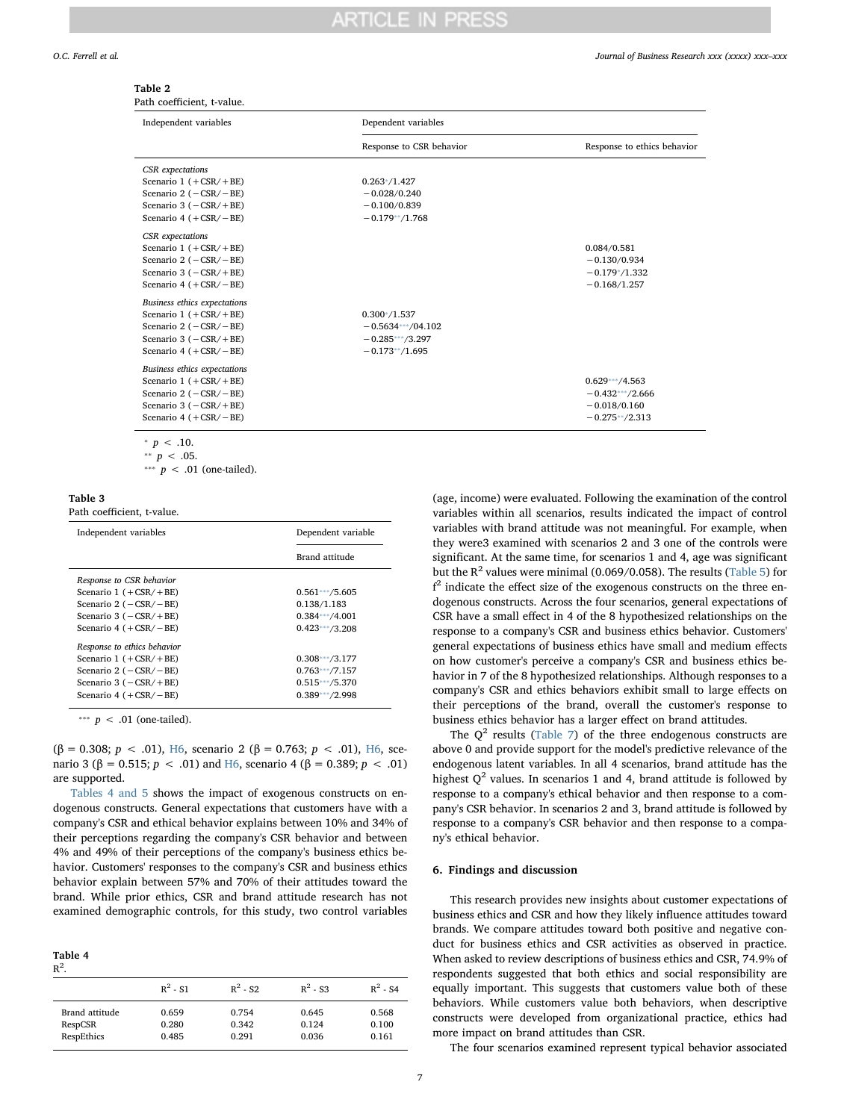<span id="page-6-0"></span>

| Table 2                    |
|----------------------------|
| Path coefficient, t-value. |

| Independent variables                 | Dependent variables      |                             |  |  |  |  |
|---------------------------------------|--------------------------|-----------------------------|--|--|--|--|
|                                       | Response to CSR behavior | Response to ethics behavior |  |  |  |  |
| CSR expectations                      |                          |                             |  |  |  |  |
| Scenario $1 (+CSR/ + BE)$             | $0.263*/1.427$           |                             |  |  |  |  |
| Scenario 2 ( $-CSR$ / $-BE$ )         | $-0.028/0.240$           |                             |  |  |  |  |
| Scenario 3 $(-CSR + BE)$              | $-0.100/0.839$           |                             |  |  |  |  |
| Scenario $4 (+CSR/-BE)$               | $-0.179**/1.768$         |                             |  |  |  |  |
| CSR expectations                      |                          |                             |  |  |  |  |
| Scenario $1 (+CSR/ + BE)$             |                          | 0.084/0.581                 |  |  |  |  |
| Scenario 2 ( $-CSR$ / $-BE$ )         |                          | $-0.130/0.934$              |  |  |  |  |
| Scenario 3 $(-CSR + BE)$              |                          | $-0.179*/1.332$             |  |  |  |  |
| Scenario $4 (+CSR/-BE)$               |                          | $-0.168/1.257$              |  |  |  |  |
| Business ethics expectations          |                          |                             |  |  |  |  |
| Scenario $1 (+CSR/ + BE)$             | $0.300*/1.537$           |                             |  |  |  |  |
| Scenario 2 ( $-CSR$ / $-BE$ )         | $-0.5634***/04.102$      |                             |  |  |  |  |
| Scenario 3 $(-CSR + BE)$              | $-0.285***/3.297$        |                             |  |  |  |  |
| Scenario $4 (+CSR/-BE)$               | $-0.173**/1.695$         |                             |  |  |  |  |
| Business ethics expectations          |                          |                             |  |  |  |  |
| Scenario $1 (+CSR/ + BE)$             |                          | $0.629***/4.563$            |  |  |  |  |
| Scenario 2 ( $-CSR$ / $-BE$ )         |                          | $-0.432***/2.666$           |  |  |  |  |
| Scenario 3 $(-\text{CSR}/+\text{BE})$ |                          | $-0.018/0.160$              |  |  |  |  |
| Scenario $4 (+CSR/-BE)$               |                          | $-0.275**/2.313$            |  |  |  |  |

<span id="page-6-3"></span> $p < .10$ .

<span id="page-6-4"></span> $p < .05$ .  $^r$  n < .01 (one-tailed).

<span id="page-6-5"></span>

|  |  | $\sim$ .01 (011 c-16 |  |
|--|--|----------------------|--|
|  |  |                      |  |

#### <span id="page-6-1"></span>Table 3

#### Path coefficient, t-value.

| Independent variables         | Dependent variable |  |  |
|-------------------------------|--------------------|--|--|
|                               | Brand attitude     |  |  |
| Response to CSR behavior      |                    |  |  |
| Scenario $1 (+ CSR + BE)$     | $0.561***$ /5.605  |  |  |
| Scenario 2 ( $-CSR$ / $-BE$ ) | 0.138/1.183        |  |  |
| Scenario $3(-CSR+BE)$         | $0.384***/4.001$   |  |  |
| Scenario $4 (+ CSR / - BE)$   | $0.423***/3.208$   |  |  |
| Response to ethics behavior   |                    |  |  |
| Scenario $1 (+CSR/ + BE)$     | $0.308***/3.177$   |  |  |
| Scenario 2 ( $-CSR$ / $-BE$ ) | $0.763***/7.157$   |  |  |
| Scenario 3 $(-CSR + BE)$      | $0.515***/5.370$   |  |  |
| Scenario $4 (+ CSR / - BE)$   | $0.389***/2.998$   |  |  |

<span id="page-6-6"></span>\*\*\*  $p < .01$  (one-tailed).

( $\beta$  = 0.308; *p* < .01), H<sub>6</sub>, scenario 2 ( $\beta$  = 0.763; *p* < .01), H<sub>6</sub>, scenario 3 (β = 0.515; *p* < .01) and [H6,](#page-3-5) scenario 4 (β = 0.389; *p* < .01) are supported.

[Tables 4 and 5](#page-6-2) shows the impact of exogenous constructs on endogenous constructs. General expectations that customers have with a company's CSR and ethical behavior explains between 10% and 34% of their perceptions regarding the company's CSR behavior and between 4% and 49% of their perceptions of the company's business ethics behavior. Customers' responses to the company's CSR and business ethics behavior explain between 57% and 70% of their attitudes toward the brand. While prior ethics, CSR and brand attitude research has not examined demographic controls, for this study, two control variables

<span id="page-6-2"></span>Table 4  $R^2$ .

|                                         | $R^2$ - S1              | $R^2$ - S <sub>2</sub>  | $R^2$ - S3              | $R^2$ - S4              |
|-----------------------------------------|-------------------------|-------------------------|-------------------------|-------------------------|
| Brand attitude<br>RespCSR<br>RespEthics | 0.659<br>0.280<br>0.485 | 0.754<br>0.342<br>0.291 | 0.645<br>0.124<br>0.036 | 0.568<br>0.100<br>0.161 |

(age, income) were evaluated. Following the examination of the control variables within all scenarios, results indicated the impact of control variables with brand attitude was not meaningful. For example, when they were3 examined with scenarios 2 and 3 one of the controls were significant. At the same time, for scenarios 1 and 4, age was significant but the  $R^2$  values were minimal (0.069/0.058). The results ([Table 5\)](#page-7-0) for  $f<sup>2</sup>$  indicate the effect size of the exogenous constructs on the three endogenous constructs. Across the four scenarios, general expectations of CSR have a small effect in 4 of the 8 hypothesized relationships on the response to a company's CSR and business ethics behavior. Customers' general expectations of business ethics have small and medium effects on how customer's perceive a company's CSR and business ethics behavior in 7 of the 8 hypothesized relationships. Although responses to a company's CSR and ethics behaviors exhibit small to large effects on their perceptions of the brand, overall the customer's response to business ethics behavior has a larger effect on brand attitudes.

The  $Q^2$  results ([Table 7\)](#page-8-0) of the three endogenous constructs are above 0 and provide support for the model's predictive relevance of the endogenous latent variables. In all 4 scenarios, brand attitude has the highest  $Q^2$  values. In scenarios 1 and 4, brand attitude is followed by response to a company's ethical behavior and then response to a company's CSR behavior. In scenarios 2 and 3, brand attitude is followed by response to a company's CSR behavior and then response to a company's ethical behavior.

#### 6. Findings and discussion

This research provides new insights about customer expectations of business ethics and CSR and how they likely influence attitudes toward brands. We compare attitudes toward both positive and negative conduct for business ethics and CSR activities as observed in practice. When asked to review descriptions of business ethics and CSR, 74.9% of respondents suggested that both ethics and social responsibility are equally important. This suggests that customers value both of these behaviors. While customers value both behaviors, when descriptive constructs were developed from organizational practice, ethics had more impact on brand attitudes than CSR.

The four scenarios examined represent typical behavior associated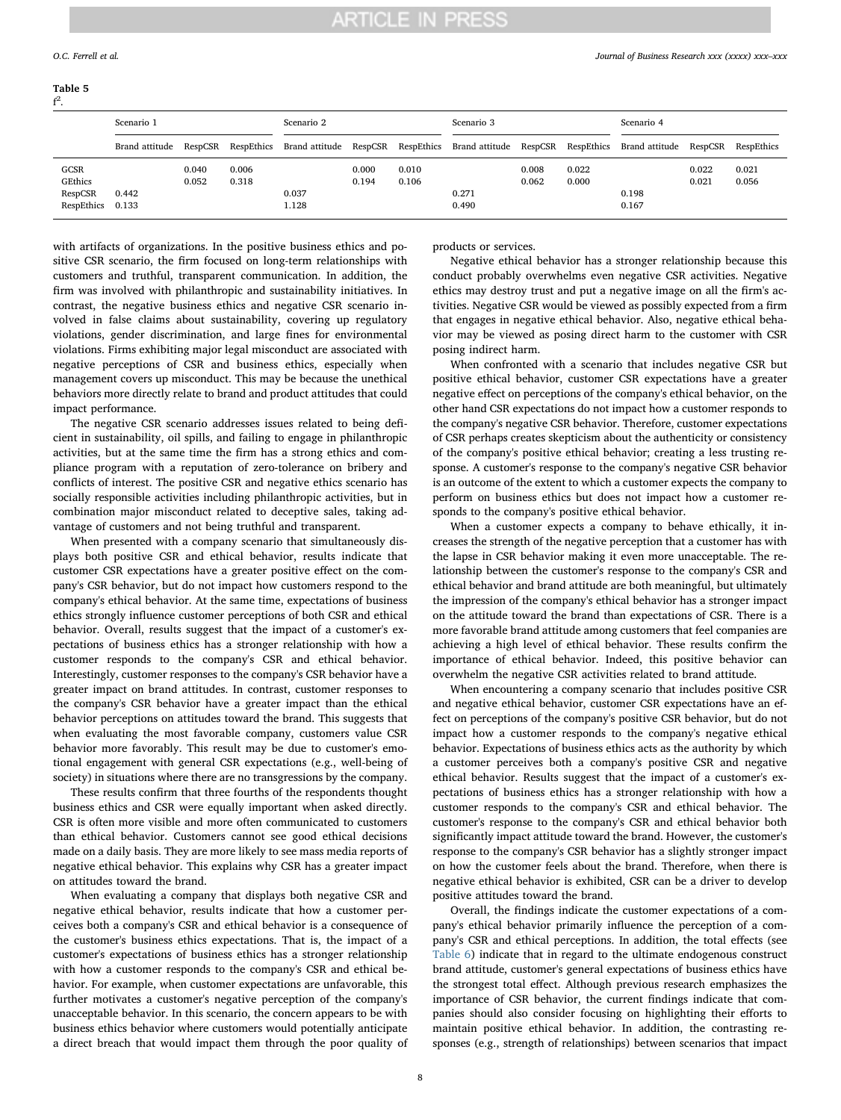<span id="page-7-0"></span>

| f <sup>2</sup> . |            |       |            |                                                                                                                                         |       |       |            |       |       |            |       |       |
|------------------|------------|-------|------------|-----------------------------------------------------------------------------------------------------------------------------------------|-------|-------|------------|-------|-------|------------|-------|-------|
|                  | Scenario 1 |       | Scenario 2 |                                                                                                                                         |       |       | Scenario 3 |       |       | Scenario 4 |       |       |
|                  |            |       |            | Brand attitude RespCSR RespEthics Brand attitude RespCSR RespEthics Brand attitude RespCSR RespEthics Brand attitude RespCSR RespEthics |       |       |            |       |       |            |       |       |
| GCSR             |            | 0.040 | 0.006      |                                                                                                                                         | 0.000 | 0.010 |            | 0.008 | 0.022 |            | 0.022 | 0.021 |
| GEthics          |            | 0.052 | 0.318      |                                                                                                                                         | 0.194 | 0.106 |            | 0.062 | 0.000 |            | 0.021 | 0.056 |
| RespCSR          | 0.442      |       |            | 0.037                                                                                                                                   |       |       | 0.271      |       |       | 0.198      |       |       |
| RespEthics 0.133 |            |       |            | 1.128                                                                                                                                   |       |       | 0.490      |       |       | 0.167      |       |       |

with artifacts of organizations. In the positive business ethics and positive CSR scenario, the firm focused on long-term relationships with customers and truthful, transparent communication. In addition, the firm was involved with philanthropic and sustainability initiatives. In contrast, the negative business ethics and negative CSR scenario involved in false claims about sustainability, covering up regulatory violations, gender discrimination, and large fines for environmental violations. Firms exhibiting major legal misconduct are associated with negative perceptions of CSR and business ethics, especially when management covers up misconduct. This may be because the unethical behaviors more directly relate to brand and product attitudes that could impact performance.

The negative CSR scenario addresses issues related to being deficient in sustainability, oil spills, and failing to engage in philanthropic activities, but at the same time the firm has a strong ethics and compliance program with a reputation of zero-tolerance on bribery and conflicts of interest. The positive CSR and negative ethics scenario has socially responsible activities including philanthropic activities, but in combination major misconduct related to deceptive sales, taking advantage of customers and not being truthful and transparent.

When presented with a company scenario that simultaneously displays both positive CSR and ethical behavior, results indicate that customer CSR expectations have a greater positive effect on the company's CSR behavior, but do not impact how customers respond to the company's ethical behavior. At the same time, expectations of business ethics strongly influence customer perceptions of both CSR and ethical behavior. Overall, results suggest that the impact of a customer's expectations of business ethics has a stronger relationship with how a customer responds to the company's CSR and ethical behavior. Interestingly, customer responses to the company's CSR behavior have a greater impact on brand attitudes. In contrast, customer responses to the company's CSR behavior have a greater impact than the ethical behavior perceptions on attitudes toward the brand. This suggests that when evaluating the most favorable company, customers value CSR behavior more favorably. This result may be due to customer's emotional engagement with general CSR expectations (e.g., well-being of society) in situations where there are no transgressions by the company.

These results confirm that three fourths of the respondents thought business ethics and CSR were equally important when asked directly. CSR is often more visible and more often communicated to customers than ethical behavior. Customers cannot see good ethical decisions made on a daily basis. They are more likely to see mass media reports of negative ethical behavior. This explains why CSR has a greater impact on attitudes toward the brand.

When evaluating a company that displays both negative CSR and negative ethical behavior, results indicate that how a customer perceives both a company's CSR and ethical behavior is a consequence of the customer's business ethics expectations. That is, the impact of a customer's expectations of business ethics has a stronger relationship with how a customer responds to the company's CSR and ethical behavior. For example, when customer expectations are unfavorable, this further motivates a customer's negative perception of the company's unacceptable behavior. In this scenario, the concern appears to be with business ethics behavior where customers would potentially anticipate a direct breach that would impact them through the poor quality of products or services.

Negative ethical behavior has a stronger relationship because this conduct probably overwhelms even negative CSR activities. Negative ethics may destroy trust and put a negative image on all the firm's activities. Negative CSR would be viewed as possibly expected from a firm that engages in negative ethical behavior. Also, negative ethical behavior may be viewed as posing direct harm to the customer with CSR posing indirect harm.

When confronted with a scenario that includes negative CSR but positive ethical behavior, customer CSR expectations have a greater negative effect on perceptions of the company's ethical behavior, on the other hand CSR expectations do not impact how a customer responds to the company's negative CSR behavior. Therefore, customer expectations of CSR perhaps creates skepticism about the authenticity or consistency of the company's positive ethical behavior; creating a less trusting response. A customer's response to the company's negative CSR behavior is an outcome of the extent to which a customer expects the company to perform on business ethics but does not impact how a customer responds to the company's positive ethical behavior.

When a customer expects a company to behave ethically, it increases the strength of the negative perception that a customer has with the lapse in CSR behavior making it even more unacceptable. The relationship between the customer's response to the company's CSR and ethical behavior and brand attitude are both meaningful, but ultimately the impression of the company's ethical behavior has a stronger impact on the attitude toward the brand than expectations of CSR. There is a more favorable brand attitude among customers that feel companies are achieving a high level of ethical behavior. These results confirm the importance of ethical behavior. Indeed, this positive behavior can overwhelm the negative CSR activities related to brand attitude.

When encountering a company scenario that includes positive CSR and negative ethical behavior, customer CSR expectations have an effect on perceptions of the company's positive CSR behavior, but do not impact how a customer responds to the company's negative ethical behavior. Expectations of business ethics acts as the authority by which a customer perceives both a company's positive CSR and negative ethical behavior. Results suggest that the impact of a customer's expectations of business ethics has a stronger relationship with how a customer responds to the company's CSR and ethical behavior. The customer's response to the company's CSR and ethical behavior both significantly impact attitude toward the brand. However, the customer's response to the company's CSR behavior has a slightly stronger impact on how the customer feels about the brand. Therefore, when there is negative ethical behavior is exhibited, CSR can be a driver to develop positive attitudes toward the brand.

Overall, the findings indicate the customer expectations of a company's ethical behavior primarily influence the perception of a company's CSR and ethical perceptions. In addition, the total effects (see [Table 6\)](#page-8-1) indicate that in regard to the ultimate endogenous construct brand attitude, customer's general expectations of business ethics have the strongest total effect. Although previous research emphasizes the importance of CSR behavior, the current findings indicate that companies should also consider focusing on highlighting their efforts to maintain positive ethical behavior. In addition, the contrasting responses (e.g., strength of relationships) between scenarios that impact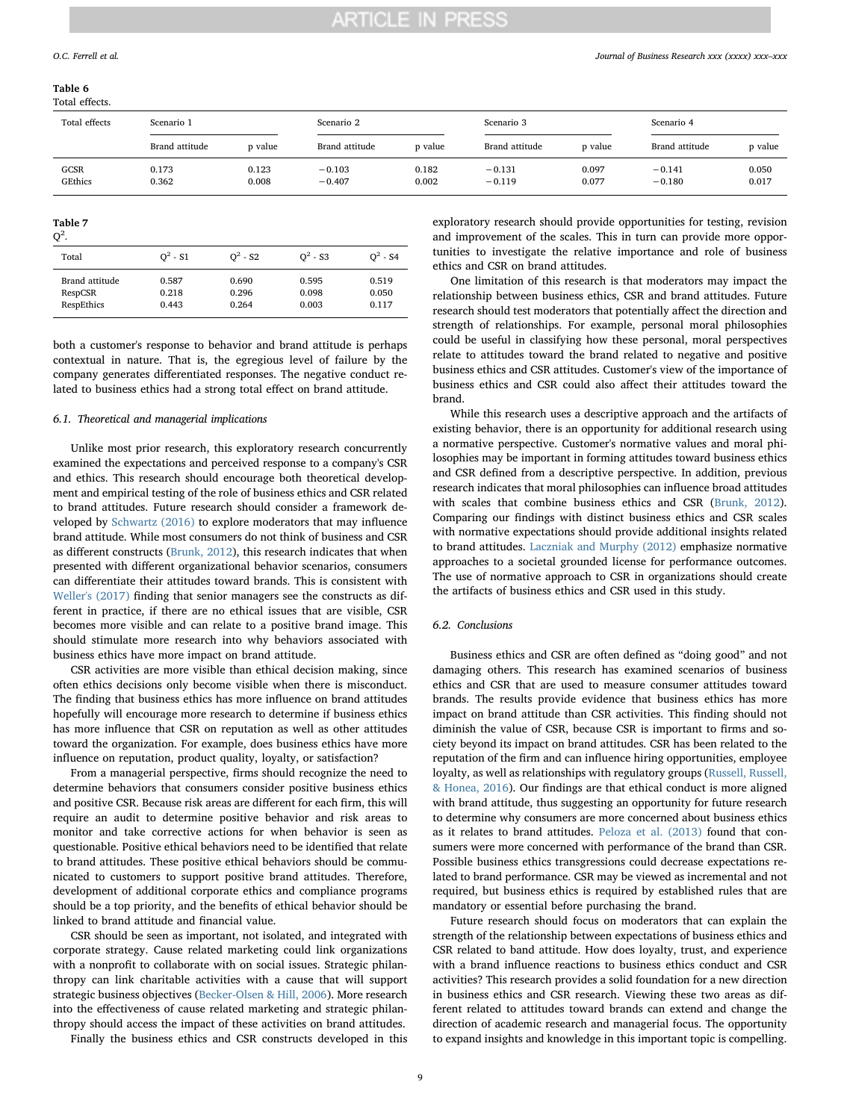<span id="page-8-1"></span>

| Table 6 |                |
|---------|----------------|
|         | Total effects. |

| Total effects          | Scenario 1     |                | Scenario 2           |                | Scenario 3           |                | Scenario 4           |                |
|------------------------|----------------|----------------|----------------------|----------------|----------------------|----------------|----------------------|----------------|
|                        | Brand attitude | p value        | Brand attitude       | p value        | Brand attitude       | p value        | Brand attitude       | p value        |
| GCSR<br><b>GEthics</b> | 0.173<br>0.362 | 0.123<br>0.008 | $-0.103$<br>$-0.407$ | 0.182<br>0.002 | $-0.131$<br>$-0.119$ | 0.097<br>0.077 | $-0.141$<br>$-0.180$ | 0.050<br>0.017 |

### <span id="page-8-0"></span>Table 7

| $O^2$ .                                 |                         |                         |                         |                         |
|-----------------------------------------|-------------------------|-------------------------|-------------------------|-------------------------|
| Total                                   | $O^2 - S1$              | $Q^2$ - S <sub>2</sub>  | $Q^2 - S3$              | $Q^2 - S4$              |
| Brand attitude<br>RespCSR<br>RespEthics | 0.587<br>0.218<br>0.443 | 0.690<br>0.296<br>0.264 | 0.595<br>0.098<br>0.003 | 0.519<br>0.050<br>0.117 |

both a customer's response to behavior and brand attitude is perhaps contextual in nature. That is, the egregious level of failure by the company generates differentiated responses. The negative conduct related to business ethics had a strong total effect on brand attitude.

#### 6.1. Theoretical and managerial implications

Unlike most prior research, this exploratory research concurrently examined the expectations and perceived response to a company's CSR and ethics. This research should encourage both theoretical development and empirical testing of the role of business ethics and CSR related to brand attitudes. Future research should consider a framework developed by [Schwartz \(2016\)](#page-10-17) to explore moderators that may influence brand attitude. While most consumers do not think of business and CSR as different constructs ([Brunk, 2012\)](#page-9-1), this research indicates that when presented with different organizational behavior scenarios, consumers can differentiate their attitudes toward brands. This is consistent with [Weller's \(2017\)](#page-10-3) finding that senior managers see the constructs as different in practice, if there are no ethical issues that are visible, CSR becomes more visible and can relate to a positive brand image. This should stimulate more research into why behaviors associated with business ethics have more impact on brand attitude.

CSR activities are more visible than ethical decision making, since often ethics decisions only become visible when there is misconduct. The finding that business ethics has more influence on brand attitudes hopefully will encourage more research to determine if business ethics has more influence that CSR on reputation as well as other attitudes toward the organization. For example, does business ethics have more influence on reputation, product quality, loyalty, or satisfaction?

From a managerial perspective, firms should recognize the need to determine behaviors that consumers consider positive business ethics and positive CSR. Because risk areas are different for each firm, this will require an audit to determine positive behavior and risk areas to monitor and take corrective actions for when behavior is seen as questionable. Positive ethical behaviors need to be identified that relate to brand attitudes. These positive ethical behaviors should be communicated to customers to support positive brand attitudes. Therefore, development of additional corporate ethics and compliance programs should be a top priority, and the benefits of ethical behavior should be linked to brand attitude and financial value.

CSR should be seen as important, not isolated, and integrated with corporate strategy. Cause related marketing could link organizations with a nonprofit to collaborate with on social issues. Strategic philanthropy can link charitable activities with a cause that will support strategic business objectives ([Becker-Olsen & Hill, 2006\)](#page-9-25). More research into the effectiveness of cause related marketing and strategic philanthropy should access the impact of these activities on brand attitudes.

Finally the business ethics and CSR constructs developed in this

exploratory research should provide opportunities for testing, revision and improvement of the scales. This in turn can provide more opportunities to investigate the relative importance and role of business ethics and CSR on brand attitudes.

One limitation of this research is that moderators may impact the relationship between business ethics, CSR and brand attitudes. Future research should test moderators that potentially affect the direction and strength of relationships. For example, personal moral philosophies could be useful in classifying how these personal, moral perspectives relate to attitudes toward the brand related to negative and positive business ethics and CSR attitudes. Customer's view of the importance of business ethics and CSR could also affect their attitudes toward the brand.

While this research uses a descriptive approach and the artifacts of existing behavior, there is an opportunity for additional research using a normative perspective. Customer's normative values and moral philosophies may be important in forming attitudes toward business ethics and CSR defined from a descriptive perspective. In addition, previous research indicates that moral philosophies can influence broad attitudes with scales that combine business ethics and CSR [\(Brunk, 2012](#page-9-1)). Comparing our findings with distinct business ethics and CSR scales with normative expectations should provide additional insights related to brand attitudes. [Laczniak and Murphy \(2012\)](#page-10-45) emphasize normative approaches to a societal grounded license for performance outcomes. The use of normative approach to CSR in organizations should create the artifacts of business ethics and CSR used in this study.

#### 6.2. Conclusions

Business ethics and CSR are often defined as "doing good" and not damaging others. This research has examined scenarios of business ethics and CSR that are used to measure consumer attitudes toward brands. The results provide evidence that business ethics has more impact on brand attitude than CSR activities. This finding should not diminish the value of CSR, because CSR is important to firms and society beyond its impact on brand attitudes. CSR has been related to the reputation of the firm and can influence hiring opportunities, employee loyalty, as well as relationships with regulatory groups ([Russell, Russell,](#page-10-46) [& Honea, 2016](#page-10-46)). Our findings are that ethical conduct is more aligned with brand attitude, thus suggesting an opportunity for future research to determine why consumers are more concerned about business ethics as it relates to brand attitudes. [Peloza et al. \(2013\)](#page-10-5) found that consumers were more concerned with performance of the brand than CSR. Possible business ethics transgressions could decrease expectations related to brand performance. CSR may be viewed as incremental and not required, but business ethics is required by established rules that are mandatory or essential before purchasing the brand.

Future research should focus on moderators that can explain the strength of the relationship between expectations of business ethics and CSR related to band attitude. How does loyalty, trust, and experience with a brand influence reactions to business ethics conduct and CSR activities? This research provides a solid foundation for a new direction in business ethics and CSR research. Viewing these two areas as different related to attitudes toward brands can extend and change the direction of academic research and managerial focus. The opportunity to expand insights and knowledge in this important topic is compelling.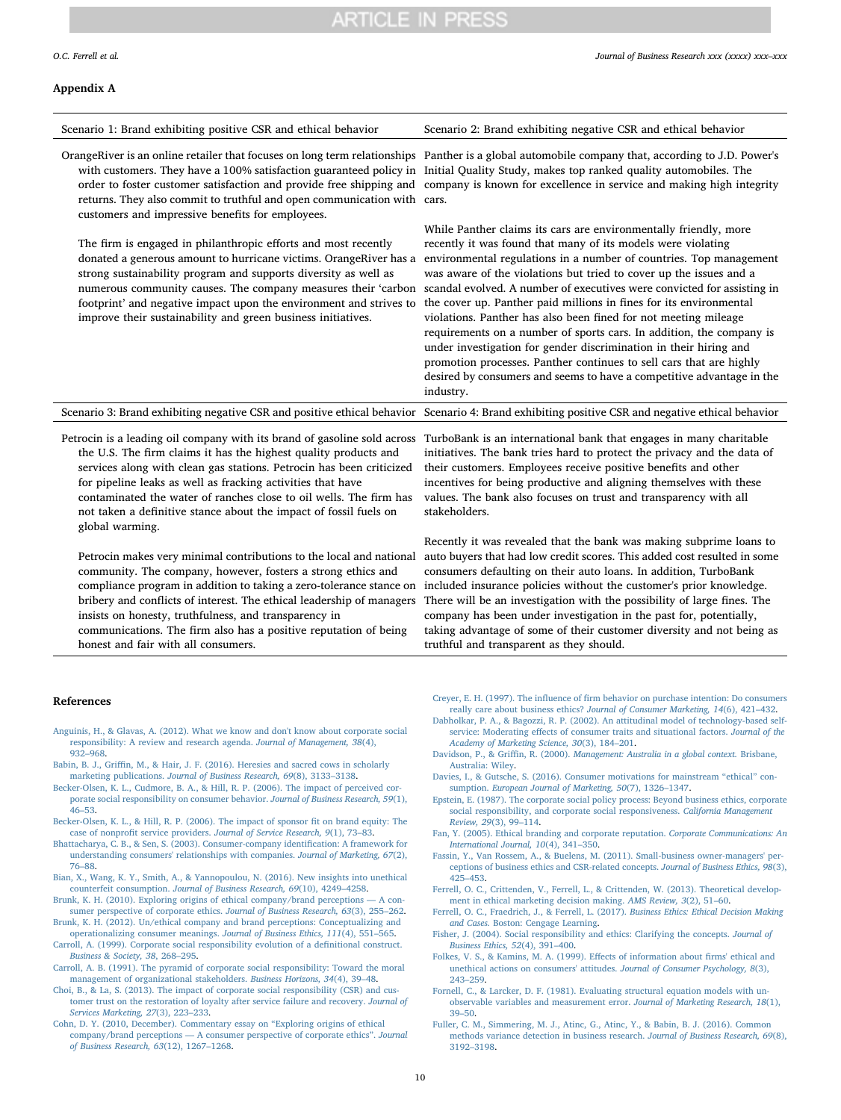#### <span id="page-9-19"></span>Appendix A

| Scenario 1: Brand exhibiting positive CSR and ethical behavior                                                                                                                                                                                                                                                                                                                                                                                          | Scenario 2: Brand exhibiting negative CSR and ethical behavior                                                                                                                                                                                                                                                                                                                                                                                                                                                                                                                                                                                                                                                                                                                                                                                                           |
|---------------------------------------------------------------------------------------------------------------------------------------------------------------------------------------------------------------------------------------------------------------------------------------------------------------------------------------------------------------------------------------------------------------------------------------------------------|--------------------------------------------------------------------------------------------------------------------------------------------------------------------------------------------------------------------------------------------------------------------------------------------------------------------------------------------------------------------------------------------------------------------------------------------------------------------------------------------------------------------------------------------------------------------------------------------------------------------------------------------------------------------------------------------------------------------------------------------------------------------------------------------------------------------------------------------------------------------------|
| with customers. They have a 100% satisfaction guaranteed policy in Initial Quality Study, makes top ranked quality automobiles. The<br>returns. They also commit to truthful and open communication with cars.<br>customers and impressive benefits for employees.                                                                                                                                                                                      | OrangeRiver is an online retailer that focuses on long term relationships Panther is a global automobile company that, according to J.D. Power's<br>order to foster customer satisfaction and provide free shipping and company is known for excellence in service and making high integrity                                                                                                                                                                                                                                                                                                                                                                                                                                                                                                                                                                             |
| The firm is engaged in philanthropic efforts and most recently<br>donated a generous amount to hurricane victims. OrangeRiver has a<br>strong sustainability program and supports diversity as well as<br>footprint' and negative impact upon the environment and strives to<br>improve their sustainability and green business initiatives.                                                                                                            | While Panther claims its cars are environmentally friendly, more<br>recently it was found that many of its models were violating<br>environmental regulations in a number of countries. Top management<br>was aware of the violations but tried to cover up the issues and a<br>numerous community causes. The company measures their 'carbon scandal evolved. A number of executives were convicted for assisting in<br>the cover up. Panther paid millions in fines for its environmental<br>violations. Panther has also been fined for not meeting mileage<br>requirements on a number of sports cars. In addition, the company is<br>under investigation for gender discrimination in their hiring and<br>promotion processes. Panther continues to sell cars that are highly<br>desired by consumers and seems to have a competitive advantage in the<br>industry. |
|                                                                                                                                                                                                                                                                                                                                                                                                                                                         | Scenario 3: Brand exhibiting negative CSR and positive ethical behavior Scenario 4: Brand exhibiting positive CSR and negative ethical behavior                                                                                                                                                                                                                                                                                                                                                                                                                                                                                                                                                                                                                                                                                                                          |
| Petrocin is a leading oil company with its brand of gasoline sold across<br>the U.S. The firm claims it has the highest quality products and<br>services along with clean gas stations. Petrocin has been criticized<br>for pipeline leaks as well as fracking activities that have<br>contaminated the water of ranches close to oil wells. The firm has<br>not taken a definitive stance about the impact of fossil fuels on<br>global warming.       | TurboBank is an international bank that engages in many charitable<br>initiatives. The bank tries hard to protect the privacy and the data of<br>their customers. Employees receive positive benefits and other<br>incentives for being productive and aligning themselves with these<br>values. The bank also focuses on trust and transparency with all<br>stakeholders.                                                                                                                                                                                                                                                                                                                                                                                                                                                                                               |
| Petrocin makes very minimal contributions to the local and national<br>community. The company, however, fosters a strong ethics and<br>compliance program in addition to taking a zero-tolerance stance on<br>bribery and conflicts of interest. The ethical leadership of managers<br>insists on honesty, truthfulness, and transparency in<br>communications. The firm also has a positive reputation of being<br>honest and fair with all consumers. | Recently it was revealed that the bank was making subprime loans to<br>auto buyers that had low credit scores. This added cost resulted in some<br>consumers defaulting on their auto loans. In addition, TurboBank<br>included insurance policies without the customer's prior knowledge.<br>There will be an investigation with the possibility of large fines. The<br>company has been under investigation in the past for, potentially,<br>taking advantage of some of their customer diversity and not being as<br>truthful and transparent as they should.                                                                                                                                                                                                                                                                                                         |

#### References

- <span id="page-9-17"></span>[Anguinis, H., & Glavas, A. \(2012\). What we know and don't know about corporate social](http://refhub.elsevier.com/S0148-2963(18)30358-8/rf0005) [responsibility: A review and research agenda.](http://refhub.elsevier.com/S0148-2963(18)30358-8/rf0005) Journal of Management, 38(4), 932–[968](http://refhub.elsevier.com/S0148-2963(18)30358-8/rf0005).
- <span id="page-9-22"></span>Babin, B. J., Griffi[n, M., & Hair, J. F. \(2016\). Heresies and sacred cows in scholarly](http://refhub.elsevier.com/S0148-2963(18)30358-8/rf0010) marketing publications. [Journal of Business Research, 69](http://refhub.elsevier.com/S0148-2963(18)30358-8/rf0010)(8), 3133–3138.
- <span id="page-9-16"></span>[Becker-Olsen, K. L., Cudmore, B. A., & Hill, R. P. \(2006\). The impact of perceived cor](http://refhub.elsevier.com/S0148-2963(18)30358-8/rf0015)[porate social responsibility on consumer behavior.](http://refhub.elsevier.com/S0148-2963(18)30358-8/rf0015) Journal of Business Research, 59(1), 46–[53](http://refhub.elsevier.com/S0148-2963(18)30358-8/rf0015).
- <span id="page-9-25"></span>[Becker-Olsen, K. L., & Hill, R. P. \(2006\). The impact of sponsor](http://refhub.elsevier.com/S0148-2963(18)30358-8/rf0020) fit on brand equity: The case of nonprofit service providers. [Journal of Service Research, 9](http://refhub.elsevier.com/S0148-2963(18)30358-8/rf0020)(1), 73–83.
- <span id="page-9-0"></span>[Bhattacharya, C. B., & Sen, S. \(2003\). Consumer-company identi](http://refhub.elsevier.com/S0148-2963(18)30358-8/rf0025)fication: A framework for [understanding consumers' relationships with companies.](http://refhub.elsevier.com/S0148-2963(18)30358-8/rf0025) Journal of Marketing, 67(2), 76–[88](http://refhub.elsevier.com/S0148-2963(18)30358-8/rf0025).
- <span id="page-9-3"></span>[Bian, X., Wang, K. Y., Smith, A., & Yannopoulou, N. \(2016\). New insights into unethical](http://refhub.elsevier.com/S0148-2963(18)30358-8/rf0035) counterfeit consumption. [Journal of Business Research, 69](http://refhub.elsevier.com/S0148-2963(18)30358-8/rf0035)(10), 4249–4258.
- <span id="page-9-4"></span>[Brunk, K. H. \(2010\). Exploring origins of ethical company/brand perceptions](http://refhub.elsevier.com/S0148-2963(18)30358-8/rf0040) — A con[sumer perspective of corporate ethics.](http://refhub.elsevier.com/S0148-2963(18)30358-8/rf0040) Journal of Business Research, 63(3), 255–262. [Brunk, K. H. \(2012\). Un/ethical company and brand perceptions: Conceptualizing and](http://refhub.elsevier.com/S0148-2963(18)30358-8/rf0045)
- <span id="page-9-2"></span><span id="page-9-1"></span>[operationalizing consumer meanings.](http://refhub.elsevier.com/S0148-2963(18)30358-8/rf0045) Journal of Business Ethics, 111(4), 551–565. [Carroll, A. \(1999\). Corporate social responsibility evolution of a de](http://refhub.elsevier.com/S0148-2963(18)30358-8/rf0050)finitional construct.
- <span id="page-9-6"></span>[Business & Society, 38](http://refhub.elsevier.com/S0148-2963(18)30358-8/rf0050), 268–295. [Carroll, A. B. \(1991\). The pyramid of corporate social responsibility: Toward the moral](http://refhub.elsevier.com/S0148-2963(18)30358-8/rf0055)
- <span id="page-9-20"></span>[management of organizational stakeholders.](http://refhub.elsevier.com/S0148-2963(18)30358-8/rf0055) Business Horizons, 34(4), 39–48. [Choi, B., & La, S. \(2013\). The impact of corporate social responsibility \(CSR\) and cus-](http://refhub.elsevier.com/S0148-2963(18)30358-8/rf0060)
- [tomer trust on the restoration of loyalty after service failure and recovery.](http://refhub.elsevier.com/S0148-2963(18)30358-8/rf0060) Journal of [Services Marketing, 27](http://refhub.elsevier.com/S0148-2963(18)30358-8/rf0060)(3), 223–233.
- <span id="page-9-14"></span>[Cohn, D. Y. \(2010, December\). Commentary essay on](http://refhub.elsevier.com/S0148-2963(18)30358-8/rf0065) "Exploring origins of ethical company/brand perceptions — [A consumer perspective of corporate ethics](http://refhub.elsevier.com/S0148-2963(18)30358-8/rf0065)". Journal [of Business Research, 63](http://refhub.elsevier.com/S0148-2963(18)30358-8/rf0065)(12), 1267–1268.

<span id="page-9-21"></span>Creyer, E. H. (1997). The influence of fi[rm behavior on purchase intention: Do consumers](http://refhub.elsevier.com/S0148-2963(18)30358-8/rf0070) really care about business ethics? [Journal of Consumer Marketing, 14](http://refhub.elsevier.com/S0148-2963(18)30358-8/rf0070)(6), 421–432.

- <span id="page-9-18"></span>[Dabholkar, P. A., & Bagozzi, R. P. \(2002\). An attitudinal model of technology-based self](http://refhub.elsevier.com/S0148-2963(18)30358-8/rf0075)service: Moderating eff[ects of consumer traits and situational factors.](http://refhub.elsevier.com/S0148-2963(18)30358-8/rf0075) Journal of the [Academy of Marketing Science, 30](http://refhub.elsevier.com/S0148-2963(18)30358-8/rf0075)(3), 184–201.
- <span id="page-9-10"></span>Davidson, P., & Griffin, R. (2000). [Management: Australia in a global context.](http://refhub.elsevier.com/S0148-2963(18)30358-8/rf0080) Brisbane, [Australia: Wiley](http://refhub.elsevier.com/S0148-2963(18)30358-8/rf0080).
- <span id="page-9-12"></span>[Davies, I., & Gutsche, S. \(2016\). Consumer motivations for mainstream](http://refhub.elsevier.com/S0148-2963(18)30358-8/rf0085) "ethical" consumption. [European Journal of Marketing, 50](http://refhub.elsevier.com/S0148-2963(18)30358-8/rf0085)(7), 1326–1347.
- <span id="page-9-11"></span>[Epstein, E. \(1987\). The corporate social policy process: Beyond business ethics, corporate](http://refhub.elsevier.com/S0148-2963(18)30358-8/rf0090) [social responsibility, and corporate social responsiveness.](http://refhub.elsevier.com/S0148-2963(18)30358-8/rf0090) California Management [Review, 29](http://refhub.elsevier.com/S0148-2963(18)30358-8/rf0090)(3), 99–114.
- <span id="page-9-13"></span>[Fan, Y. \(2005\). Ethical branding and corporate reputation.](http://refhub.elsevier.com/S0148-2963(18)30358-8/rf0095) Corporate Communications: An [International Journal, 10](http://refhub.elsevier.com/S0148-2963(18)30358-8/rf0095)(4), 341–350.
- <span id="page-9-8"></span>[Fassin, Y., Van Rossem, A., & Buelens, M. \(2011\). Small-business owner-managers' per](http://refhub.elsevier.com/S0148-2963(18)30358-8/rf0100)[ceptions of business ethics and CSR-related concepts.](http://refhub.elsevier.com/S0148-2963(18)30358-8/rf0100) Journal of Business Ethics, 98(3), 425–[453](http://refhub.elsevier.com/S0148-2963(18)30358-8/rf0100).
- <span id="page-9-5"></span>[Ferrell, O. C., Crittenden, V., Ferrell, L., & Crittenden, W. \(2013\). Theoretical develop](http://refhub.elsevier.com/S0148-2963(18)30358-8/rf0105)[ment in ethical marketing decision making.](http://refhub.elsevier.com/S0148-2963(18)30358-8/rf0105) AMS Review, 3(2), 51–60.
- <span id="page-9-7"></span>[Ferrell, O. C., Fraedrich, J., & Ferrell, L. \(2017\).](http://refhub.elsevier.com/S0148-2963(18)30358-8/rf0110) Business Ethics: Ethical Decision Making and Cases. [Boston: Cengage Learning](http://refhub.elsevier.com/S0148-2963(18)30358-8/rf0110).
- <span id="page-9-9"></span>[Fisher, J. \(2004\). Social responsibility and ethics: Clarifying the concepts.](http://refhub.elsevier.com/S0148-2963(18)30358-8/rf0115) Journal of [Business Ethics, 52](http://refhub.elsevier.com/S0148-2963(18)30358-8/rf0115)(4), 391–400.
- <span id="page-9-15"></span>[Folkes, V. S., & Kamins, M. A. \(1999\). E](http://refhub.elsevier.com/S0148-2963(18)30358-8/rf0120)ffects of information about firms' ethical and [unethical actions on consumers' attitudes.](http://refhub.elsevier.com/S0148-2963(18)30358-8/rf0120) Journal of Consumer Psychology, 8(3), 243–[259](http://refhub.elsevier.com/S0148-2963(18)30358-8/rf0120).
- <span id="page-9-24"></span>[Fornell, C., & Larcker, D. F. \(1981\). Evaluating structural equation models with un](http://refhub.elsevier.com/S0148-2963(18)30358-8/rf0125)[observable variables and measurement error.](http://refhub.elsevier.com/S0148-2963(18)30358-8/rf0125) Journal of Marketing Research, 18(1), 39–[50](http://refhub.elsevier.com/S0148-2963(18)30358-8/rf0125).
- <span id="page-9-23"></span>Fuller, [C. M., Simmering, M. J., Atinc, G., Atinc, Y., & Babin, B. J. \(2016\). Common](http://refhub.elsevier.com/S0148-2963(18)30358-8/rf0130) [methods variance detection in business research.](http://refhub.elsevier.com/S0148-2963(18)30358-8/rf0130) Journal of Business Research, 69(8), 3192–[3198](http://refhub.elsevier.com/S0148-2963(18)30358-8/rf0130).